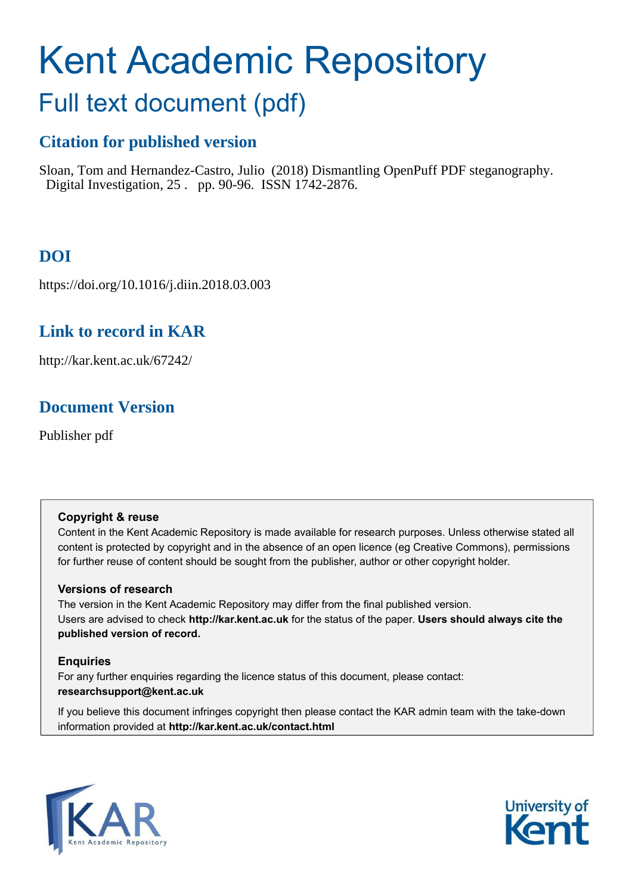# <span id="page-0-0"></span>Kent Academic Repository

## Full text document (pdf)

## **Citation for published version**

Sloan, Tom and Hernandez-Castro, Julio (2018) Dismantling OpenPuff PDF steganography. Digital Investigation, 25 . pp. 90-96. ISSN 1742-2876.

## **DOI**

https://doi.org/10.1016/j.diin.2018.03.003

## **Link to record in KAR**

http://kar.kent.ac.uk/67242/

## **Document Version**

Publisher pdf

## **Copyright & reuse**

Content in the Kent Academic Repository is made available for research purposes. Unless otherwise stated all content is protected by copyright and in the absence of an open licence (eg Creative Commons), permissions for further reuse of content should be sought from the publisher, author or other copyright holder.

## **Versions of research**

The version in the Kent Academic Repository may differ from the final published version. Users are advised to check **http://kar.kent.ac.uk** for the status of the paper. **Users should always cite the published version of record.**

## **Enquiries**

For any further enquiries regarding the licence status of this document, please contact: **researchsupport@kent.ac.uk**

If you believe this document infringes copyright then please contact the KAR admin team with the take-down information provided at **http://kar.kent.ac.uk/contact.html**



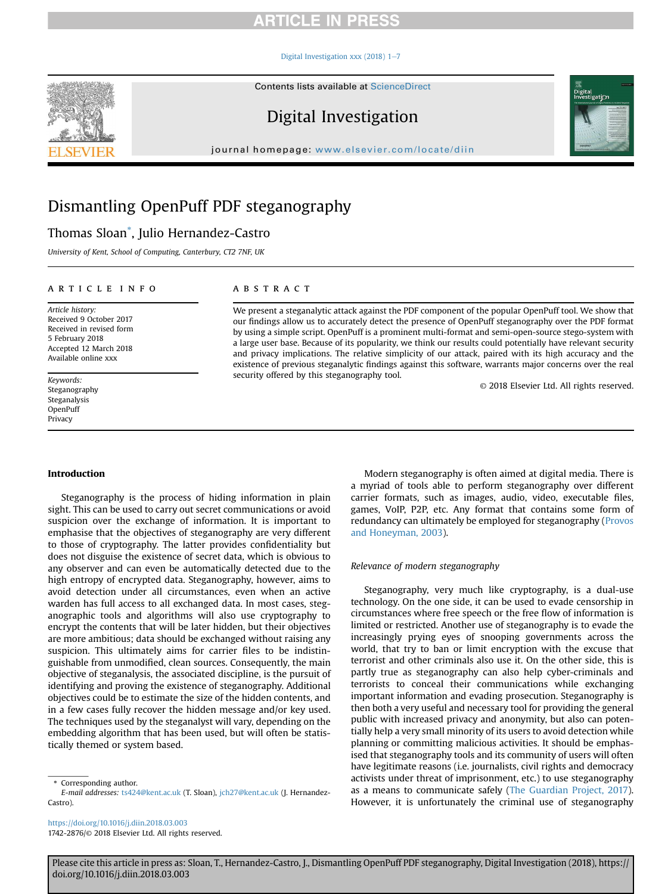#### Digital Investigation xxx (2018)  $1-7$  $1-7$

Contents lists available at [ScienceDirect](www.sciencedirect.com/science/journal/17422876)

## Digital Investigation

journal homepage: [www.elsevier.com/locate/diin](http://www.elsevier.com/locate/diin)

## Dismantling OpenPuff PDF steganography

## Thomas Sloan[\\*](#page-0-0) , Julio Hernandez-Castro

*University of Kent, School of Computing, Canterbury, CT2 7NF, UK*

#### article info

*Article history:* Received 9 October 2017 Received in revised form 5 February 2018 Accepted 12 March 2018 Available online xxx

*Keywords:* Steganography Steganalysis OpenPuff Privacy

#### Introduction

Steganography is the process of hiding information in plain sight. This can be used to carry out secret communications or avoid suspicion over the exchange of information. It is important to emphasise that the objectives of steganography are very different to those of cryptography. The latter provides confidentiality but does not disguise the existence of secret data, which is obvious to any observer and can even be automatically detected due to the high entropy of encrypted data. Steganography, however, aims to avoid detection under all circumstances, even when an active warden has full access to all exchanged data. In most cases, steganographic tools and algorithms will also use cryptography to encrypt the contents that will be later hidden, but their objectives are more ambitious; data should be exchanged without raising any suspicion. This ultimately aims for carrier files to be indistinguishable from unmodified, clean sources. Consequently, the main objective of steganalysis, the associated discipline, is the pursuit of identifying and proving the existence of steganography. Additional objectives could be to estimate the size of the hidden contents, and in a few cases fully recover the hidden message and/or key used. The techniques used by the steganalyst will vary, depending on the embedding algorithm that has been used, but will often be statistically themed or system based.

\* Corresponding author.

<https://doi.org/10.1016/j.diin.2018.03.003> 1742-2876/© 2018 Elsevier Ltd. All rights reserved.

#### **ABSTRACT**

We present a steganalytic attack against the PDF component of the popular OpenPuff tool. We show that our findings allow us to accurately detect the presence of OpenPuff steganography over the PDF format by using a simple script. OpenPuff is a prominent multi-format and semi-open-source stego-system with a large user base. Because of its popularity, we think our results could potentially have relevant security and privacy implications. The relative simplicity of our attack, paired with its high accuracy and the existence of previous steganalytic findings against this software, warrants major concerns over the real security offered by this steganography tool.

© 2018 Elsevier Ltd. All rights reserved.

igital<br>vestiga<mark>tj</mark>on

Modern steganography is often aimed at digital media. There is a myriad of tools able to perform steganography over different carrier formats, such as images, audio, video, executable files, games, VoIP, P2P, etc. Any format that contains some form of redundancy can ultimately be employed for steganography [\(Provos](#page-6-0) [and Honeyman, 2003](#page-6-0)).

#### *Relevance of modern steganography*

Steganography, very much like cryptography, is a dual-use technology. On the one side, it can be used to evade censorship in circumstances where free speech or the free flow of information is limited or restricted. Another use of steganography is to evade the increasingly prying eyes of snooping governments across the world, that try to ban or limit encryption with the excuse that terrorist and other criminals also use it. On the other side, this is partly true as steganography can also help cyber-criminals and terrorists to conceal their communications while exchanging important information and evading prosecution. Steganography is then both a very useful and necessary tool for providing the general public with increased privacy and anonymity, but also can potentially help a very small minority of its users to avoid detection while planning or committing malicious activities. It should be emphasised that steganography tools and its community of users will often have legitimate reasons (i.e. journalists, civil rights and democracy activists under threat of imprisonment, etc.) to use steganography as a means to communicate safely ([The Guardian Project, 2017\)](#page-6-0). However, it is unfortunately the criminal use of steganography



*E-mail addresses:* [ts424@kent.ac.uk](mailto:ts424@kent.ac.uk) (T. Sloan), [jch27@kent.ac.uk](mailto:jch27@kent.ac.uk) (J. Hernandez-Castro).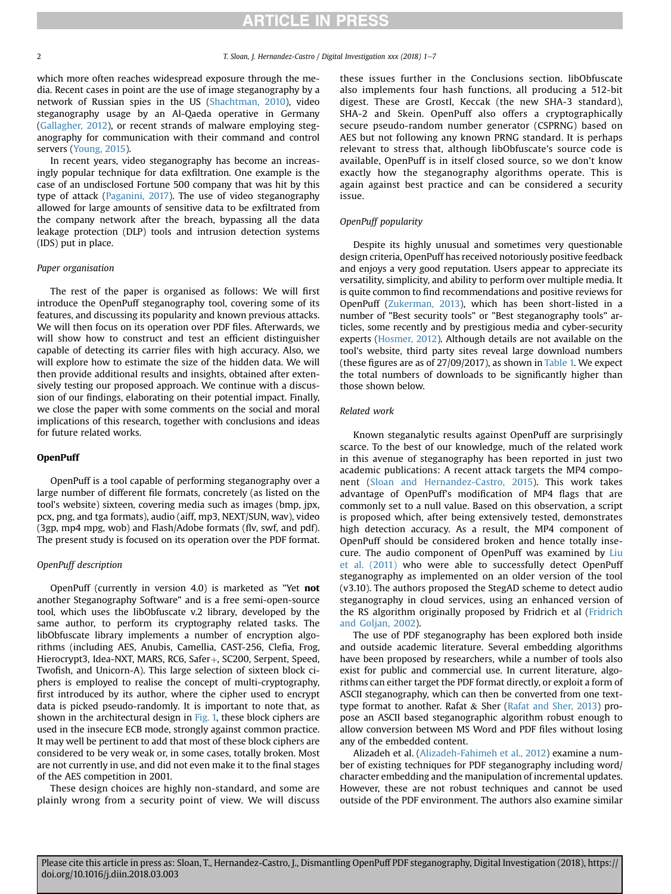which more often reaches widespread exposure through the media. Recent cases in point are the use of image steganography by a network of Russian spies in the US [\(Shachtman, 2010](#page-6-0)), video steganography usage by an Al-Qaeda operative in Germany ([Gallagher, 2012](#page-6-0)), or recent strands of malware employing steganography for communication with their command and control servers [\(Young, 2015\)](#page-6-0).

In recent years, video steganography has become an increasingly popular technique for data exfiltration. One example is the case of an undisclosed Fortune 500 company that was hit by this type of attack [\(Paganini, 2017\)](#page-6-0). The use of video steganography allowed for large amounts of sensitive data to be exfiltrated from the company network after the breach, bypassing all the data leakage protection (DLP) tools and intrusion detection systems (IDS) put in place.

#### *Paper organisation*

The rest of the paper is organised as follows: We will first introduce the OpenPuff steganography tool, covering some of its features, and discussing its popularity and known previous attacks. We will then focus on its operation over PDF files. Afterwards, we will show how to construct and test an efficient distinguisher capable of detecting its carrier files with high accuracy. Also, we will explore how to estimate the size of the hidden data. We will then provide additional results and insights, obtained after extensively testing our proposed approach. We continue with a discussion of our findings, elaborating on their potential impact. Finally, we close the paper with some comments on the social and moral implications of this research, together with conclusions and ideas for future related works.

#### OpenPuff

OpenPuff is a tool capable of performing steganography over a large number of different file formats, concretely (as listed on the tool's website) sixteen, covering media such as images (bmp, jpx, pcx, png, and tga formats), audio (aiff, mp3, NEXT/SUN, wav), video (3gp, mp4 mpg, wob) and Flash/Adobe formats (flv, swf, and pdf). The present study is focused on its operation over the PDF format.

#### *OpenPuff description*

OpenPuff (currently in version 4.0) is marketed as "Yet not another Steganography Software" and is a free semi-open-source tool, which uses the libObfuscate v.2 library, developed by the same author, to perform its cryptography related tasks. The libObfuscate library implements a number of encryption algorithms (including AES, Anubis, Camellia, CAST-256, Clefia, Frog, Hierocrypt3, Idea-NXT, MARS, RC6, Safer+, SC200, Serpent, Speed, Twofish, and Unicorn-A). This large selection of sixteen block ciphers is employed to realise the concept of multi-cryptography, first introduced by its author, where the cipher used to encrypt data is picked pseudo-randomly. It is important to note that, as shown in the architectural design in Fig. 1, these block ciphers are used in the insecure ECB mode, strongly against common practice. It may well be pertinent to add that most of these block ciphers are considered to be very weak or, in some cases, totally broken. Most are not currently in use, and did not even make it to the final stages of the AES competition in 2001.

These design choices are highly non-standard, and some are plainly wrong from a security point of view. We will discuss these issues further in the Conclusions section. libObfuscate also implements four hash functions, all producing a 512-bit digest. These are Grostl, Keccak (the new SHA-3 standard), SHA-2 and Skein. OpenPuff also offers a cryptographically secure pseudo-random number generator (CSPRNG) based on AES but not following any known PRNG standard. It is perhaps relevant to stress that, although libObfuscate's source code is available, OpenPuff is in itself closed source, so we don't know exactly how the steganography algorithms operate. This is again against best practice and can be considered a security issue.

#### *OpenPuff popularity*

Despite its highly unusual and sometimes very questionable design criteria, OpenPuff has received notoriously positive feedback and enjoys a very good reputation. Users appear to appreciate its versatility, simplicity, and ability to perform over multiple media. It is quite common to find recommendations and positive reviews for OpenPuff ([Zukerman, 2013](#page-6-0)), which has been short-listed in a number of "Best security tools" or "Best steganography tools" articles, some recently and by prestigious media and cyber-security experts ([Hosmer, 2012](#page-6-0)). Although details are not available on the tool's website, third party sites reveal large download numbers (these figures are as of 27/09/2017), as shown in Table 1. We expect the total numbers of downloads to be significantly higher than those shown below.

#### *Related work*

Known steganalytic results against OpenPuff are surprisingly scarce. To the best of our knowledge, much of the related work in this avenue of steganography has been reported in just two academic publications: A recent attack targets the MP4 component ([Sloan and Hernandez-Castro, 2015](#page-6-0)). This work takes advantage of OpenPuff's modification of MP4 flags that are commonly set to a null value. Based on this observation, a script is proposed which, after being extensively tested, demonstrates high detection accuracy. As a result, the MP4 component of OpenPuff should be considered broken and hence totally insecure. The audio component of OpenPuff was examined by [Liu](#page-6-0) [et al. \(2011\)](#page-6-0) who were able to successfully detect OpenPuff steganography as implemented on an older version of the tool (v3.10). The authors proposed the StegAD scheme to detect audio steganography in cloud services, using an enhanced version of the RS algorithm originally proposed by Fridrich et al ([Fridrich](#page-6-0) [and Goljan, 2002](#page-6-0)).

The use of PDF steganography has been explored both inside and outside academic literature. Several embedding algorithms have been proposed by researchers, while a number of tools also exist for public and commercial use. In current literature, algorithms can either target the PDF format directly, or exploit a form of ASCII steganography, which can then be converted from one texttype format to another. Rafat & Sher ([Rafat and Sher, 2013](#page-6-0)) propose an ASCII based steganographic algorithm robust enough to allow conversion between MS Word and PDF files without losing any of the embedded content.

Alizadeh et al. ([Alizadeh-Fahimeh et al., 2012](#page-6-0)) examine a number of existing techniques for PDF steganography including word/ character embedding and the manipulation of incremental updates. However, these are not robust techniques and cannot be used outside of the PDF environment. The authors also examine similar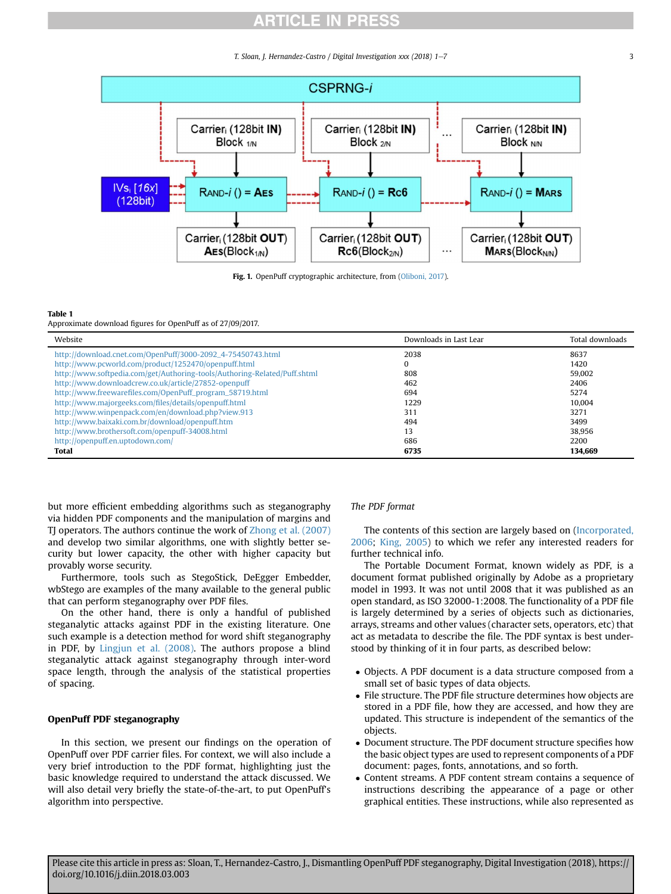*T. Sloan, J. Hernandez-Castro / Digital Investigation xxx (2018) 1-7* 3

<span id="page-3-0"></span>

Fig. 1. OpenPuff cryptographic architecture, from ([Oliboni, 2017\)](#page-6-0).

#### Table 1

Approximate download figures for OpenPuff as of 27/09/2017.

| Website                                                                   | Downloads in Last Lear | Total downloads |
|---------------------------------------------------------------------------|------------------------|-----------------|
| http://download.cnet.com/OpenPuff/3000-2092_4-75450743.html               | 2038                   | 8637            |
| http://www.pcworld.com/product/1252470/openpuff.html                      | 0                      | 1420            |
| http://www.softpedia.com/get/Authoring-tools/Authoring-Related/Puff.shtml | 808                    | 59.002          |
| http://www.downloadcrew.co.uk/article/27852-openpuff                      | 462                    | 2406            |
| http://www.freewarefiles.com/OpenPuff_program_58719.html                  | 694                    | 5274            |
| http://www.majorgeeks.com/files/details/openpuff.html                     | 1229                   | 10.004          |
| http://www.winpenpack.com/en/download.php?view.913                        | 311                    | 3271            |
| http://www.baixaki.com.br/download/openpuff.htm                           | 494                    | 3499            |
| http://www.brothersoft.com/openpuff-34008.html                            | 13                     | 38.956          |
| http://openpuff.en.uptodown.com/                                          | 686                    | 2200            |
| Total                                                                     | 6735                   | 134,669         |

but more efficient embedding algorithms such as steganography via hidden PDF components and the manipulation of margins and TJ operators. The authors continue the work of [Zhong et al. \(2007\)](#page-6-0) and develop two similar algorithms, one with slightly better security but lower capacity, the other with higher capacity but provably worse security.

Furthermore, tools such as StegoStick, DeEgger Embedder, wbStego are examples of the many available to the general public that can perform steganography over PDF files.

On the other hand, there is only a handful of published steganalytic attacks against PDF in the existing literature. One such example is a detection method for word shift steganography in PDF, by [Lingjun et al. \(2008\)](#page-6-0). The authors propose a blind steganalytic attack against steganography through inter-word space length, through the analysis of the statistical properties of spacing.

#### OpenPuff PDF steganography

In this section, we present our findings on the operation of OpenPuff over PDF carrier files. For context, we will also include a very brief introduction to the PDF format, highlighting just the basic knowledge required to understand the attack discussed. We will also detail very briefly the state-of-the-art, to put OpenPuff's algorithm into perspective.

#### *The PDF format*

The contents of this section are largely based on [\(Incorporated,](#page-6-0) [2006;](#page-6-0) [King, 2005\)](#page-6-0) to which we refer any interested readers for further technical info.

The Portable Document Format, known widely as PDF, is a document format published originally by Adobe as a proprietary model in 1993. It was not until 2008 that it was published as an open standard, as ISO 32000-1:2008. The functionality of a PDF file is largely determined by a series of objects such as dictionaries, arrays, streams and other values (character sets, operators, etc) that act as metadata to describe the file. The PDF syntax is best understood by thinking of it in four parts, as described below:

- Objects. A PDF document is a data structure composed from a small set of basic types of data objects.
- File structure. The PDF file structure determines how objects are stored in a PDF file, how they are accessed, and how they are updated. This structure is independent of the semantics of the objects.
- Document structure. The PDF document structure specifies how the basic object types are used to represent components of a PDF document: pages, fonts, annotations, and so forth.
- Content streams. A PDF content stream contains a sequence of instructions describing the appearance of a page or other graphical entities. These instructions, while also represented as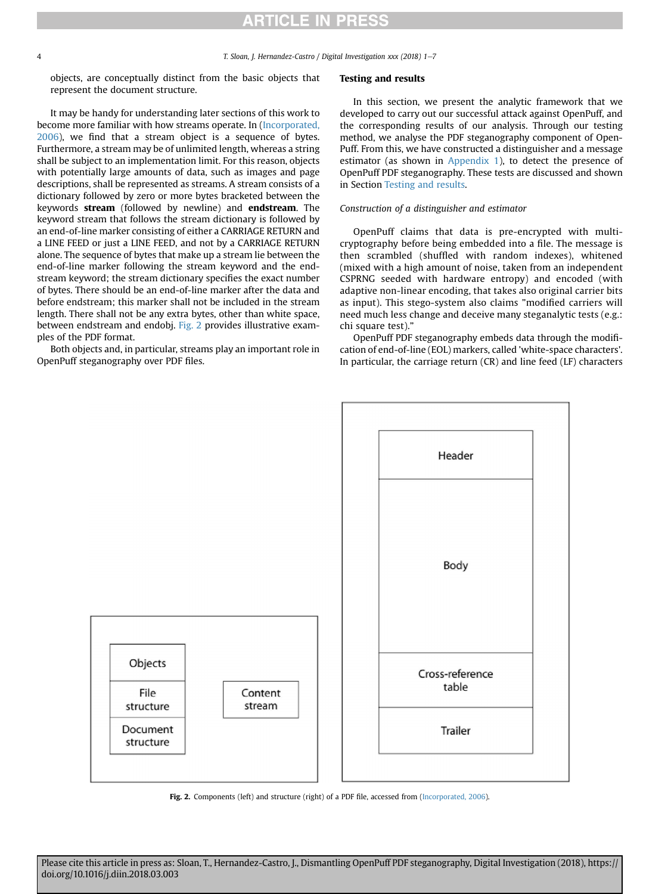<span id="page-4-0"></span>4 *T. Sloan, J. Hernandez-Castro / Digital Investigation xxx (2018) 1*e*7*

objects, are conceptually distinct from the basic objects that represent the document structure.

It may be handy for understanding later sections of this work to become more familiar with how streams operate. In [\(Incorporated,](#page-6-0) [2006](#page-6-0)), we find that a stream object is a sequence of bytes. Furthermore, a stream may be of unlimited length, whereas a string shall be subject to an implementation limit. For this reason, objects with potentially large amounts of data, such as images and page descriptions, shall be represented as streams. A stream consists of a dictionary followed by zero or more bytes bracketed between the keywords stream (followed by newline) and endstream. The keyword stream that follows the stream dictionary is followed by an end-of-line marker consisting of either a CARRIAGE RETURN and a LINE FEED or just a LINE FEED, and not by a CARRIAGE RETURN alone. The sequence of bytes that make up a stream lie between the end-of-line marker following the stream keyword and the endstream keyword; the stream dictionary specifies the exact number of bytes. There should be an end-of-line marker after the data and before endstream; this marker shall not be included in the stream length. There shall not be any extra bytes, other than white space, between endstream and endobj. [Fig. 2](#page-3-0) provides illustrative examples of the PDF format.

Both objects and, in particular, streams play an important role in OpenPuff steganography over PDF files.

#### Testing and results

In this section, we present the analytic framework that we developed to carry out our successful attack against OpenPuff, and the corresponding results of our analysis. Through our testing method, we analyse the PDF steganography component of Open-Puff. From this, we have constructed a distinguisher and a message estimator (as shown in [Appendix 1](#page-5-0)), to detect the presence of OpenPuff PDF steganography. These tests are discussed and shown in Section [Testing and results.](#page-3-0)

#### *Construction of a distinguisher and estimator*

OpenPuff claims that data is pre-encrypted with multicryptography before being embedded into a file. The message is then scrambled (shuffled with random indexes), whitened (mixed with a high amount of noise, taken from an independent CSPRNG seeded with hardware entropy) and encoded (with adaptive non-linear encoding, that takes also original carrier bits as input). This stego-system also claims "modified carriers will need much less change and deceive many steganalytic tests (e.g.: chi square test)."

OpenPuff PDF steganography embeds data through the modification of end-of-line (EOL) markers, called 'white-space characters'. In particular, the carriage return (CR) and line feed (LF) characters



Fig. 2. Components (left) and structure (right) of a PDF file, accessed from [\(Incorporated, 2006\)](#page-6-0).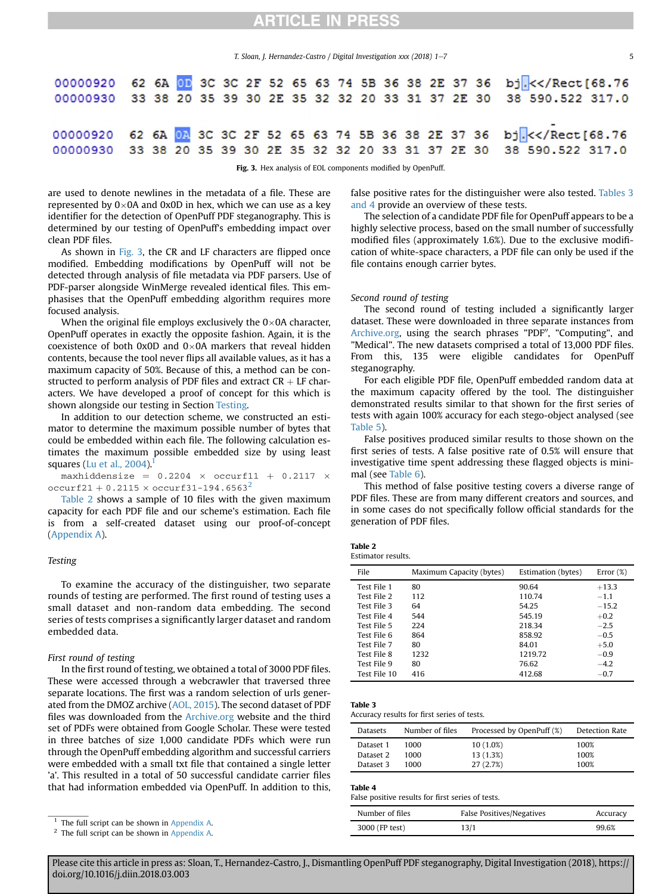*T. Sloan, J. Hernandez-Castro / Digital Investigation xxx (2018) 1-7* 5

<span id="page-5-0"></span>

|  |  |  |  |  |                                                                                                                 |  |  | 00000920 62 6A OF 3C 3C 2F 52 65 63 74 5B 36 38 2E 37 36 bj. << /Rect[68.76<br>00000930 33 38 20 35 39 30 2E 35 32 32 20 33 31 37 2E 30 38 590.522 317.0 |
|--|--|--|--|--|-----------------------------------------------------------------------------------------------------------------|--|--|----------------------------------------------------------------------------------------------------------------------------------------------------------|
|  |  |  |  |  | $\mathbf{E}$ $\mathbf{a}$ 2 $\mathbf{v}$ $\mathbf{v}$ analysis of $\mathbf{E}$ components modified by Open Buff |  |  | 00000920 62 6A 02 3C 3C 2F 52 65 63 74 5B 36 38 2E 37 36 bj. << /Rect[68.76<br>00000930 33 38 20 35 39 30 2E 35 32 32 20 33 31 37 2E 30 38 590 522 317.0 |

3. Hex analysis of EOL components modified by OpenPuff.

are used to denote newlines in the metadata of a file. These are represented by  $0\times 0A$  and 0x0D in hex, which we can use as a key identifier for the detection of OpenPuff PDF steganography. This is determined by our testing of OpenPuff's embedding impact over clean PDF files.

As shown in [Fig. 3,](#page-4-0) the CR and LF characters are flipped once modified. Embedding modifications by OpenPuff will not be detected through analysis of file metadata via PDF parsers. Use of PDF-parser alongside WinMerge revealed identical files. This emphasises that the OpenPuff embedding algorithm requires more focused analysis.

When the original file employs exclusively the  $0\times 0$ A character, OpenPuff operates in exactly the opposite fashion. Again, it is the coexistence of both 0x0D and  $0\times$ 0A markers that reveal hidden contents, because the tool never flips all available values, as it has a maximum capacity of 50%. Because of this, a method can be constructed to perform analysis of PDF files and extract  $CR + LF$  characters. We have developed a proof of concept for this which is shown alongside our testing in Section [Testing](#page-4-0).

In addition to our detection scheme, we constructed an estimator to determine the maximum possible number of bytes that could be embedded within each file. The following calculation estimates the maximum possible embedded size by using least squares (Lu et al.,  $2004$ ).

maxhiddensize =  $0.2204 \times \text{occurf11} + 0.2117 \times$ occurf[2](#page-4-0)1 + 0.2115  $\times$  occurf31-194.6563<sup>2</sup>

[Table 2](#page-4-0) shows a sample of 10 files with the given maximum capacity for each PDF file and our scheme's estimation. Each file is from a self-created dataset using our proof-of-concept (Appendix A).

#### *Testing*

To examine the accuracy of the distinguisher, two separate rounds of testing are performed. The first round of testing uses a small dataset and non-random data embedding. The second series of tests comprises a significantly larger dataset and random embedded data.

#### *First round of testing*

In the first round of testing, we obtained a total of 3000 PDF files. These were accessed through a webcrawler that traversed three separate locations. The first was a random selection of urls generated from the DMOZ archive [\(AOL, 2015](#page-6-0)). The second dataset of PDF files was downloaded from the [Archive.org](http://Archive.org) website and the third set of PDFs were obtained from Google Scholar. These were tested in three batches of size 1,000 candidate PDFs which were run through the OpenPuff embedding algorithm and successful carriers were embedded with a small txt file that contained a single letter 'a'. This resulted in a total of 50 successful candidate carrier files that had information embedded via OpenPuff. In addition to this,

<sup>1</sup> The full script can be shown in Appendix A.

<sup>2</sup> The full script can be shown in Appendix A.

false positive rates for the distinguisher were also tested. [Tables 3](#page-4-0) [and 4](#page-4-0) provide an overview of these tests.

The selection of a candidate PDF file for OpenPuff appears to be a highly selective process, based on the small number of successfully modified files (approximately 1.6%). Due to the exclusive modification of white-space characters, a PDF file can only be used if the file contains enough carrier bytes.

#### *Second round of testing*

The second round of testing included a significantly larger dataset. These were downloaded in three separate instances from [Archive.org,](http://Archive.org) using the search phrases "PDF", "Computing", and "Medical". The new datasets comprised a total of 13,000 PDF files. From this, 135 were eligible candidates for OpenPuff steganography.

For each eligible PDF file, OpenPuff embedded random data at the maximum capacity offered by the tool. The distinguisher demonstrated results similar to that shown for the first series of tests with again 100% accuracy for each stego-object analysed (see Table 5).

False positives produced similar results to those shown on the first series of tests. A false positive rate of 0.5% will ensure that investigative time spent addressing these flagged objects is minimal (see Table 6).

This method of false positive testing covers a diverse range of PDF files. These are from many different creators and sources, and in some cases do not specifically follow official standards for the generation of PDF files.

| Table 2            |  |
|--------------------|--|
| Estimator results. |  |

| File         | Maximum Capacity (bytes) | Estimation (bytes) | Error $(\%)$ |
|--------------|--------------------------|--------------------|--------------|
| Test File 1  | 80                       | 90.64              | $+13.3$      |
| Test File 2  | 112                      | 110.74             | $-1.1$       |
| Test File 3  | 64                       | 54.25              | $-15.2$      |
| Test File 4  | 544                      | 545.19             | $+0.2$       |
| Test File 5  | 224                      | 218.34             | $-2.5$       |
| Test File 6  | 864                      | 858.92             | $-0.5$       |
| Test File 7  | 80                       | 84.01              | $+5.0$       |
| Test File 8  | 1232                     | 1219.72            | $-0.9$       |
| Test File 9  | 80                       | 76.62              | $-4.2$       |
| Test File 10 | 416                      | 412.68             | $-0.7$       |

#### Table 3

| Datasets  | Number of files | Processed by OpenPuff (%) | Detection Rate |
|-----------|-----------------|---------------------------|----------------|
| Dataset 1 | 1000            | 10 (1.0%)                 | 100%           |
| Dataset 2 | 1000            | 13 (1.3%)                 | 100%           |
| Dataset 3 | 1000            | 27 (2.7%)                 | 100%           |

#### Table 4

False positive results for first series of tests.

| Number of files | False Positives/Negatives | Accuracy |
|-----------------|---------------------------|----------|
| 3000 (FP test)  | 13/1                      | 99.6%    |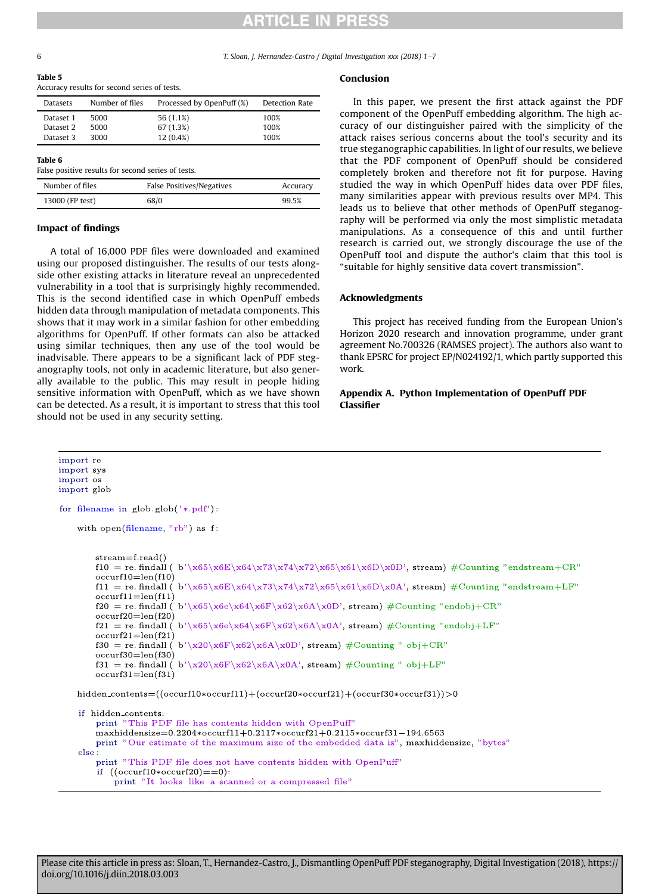<span id="page-6-0"></span>6 *T. Sloan, J. Hernandez-Castro / Digital Investigation xxx (2018) 1*e*7*

| 14D) |  |
|------|--|
|------|--|

Accuracy results for second series of tests.

| <b>Datasets</b> | Number of files | Processed by OpenPuff (%) | Detection Rate |
|-----------------|-----------------|---------------------------|----------------|
| Dataset 1       | 5000            | 56 (1.1%)                 | 100%           |
| Dataset 2       | 5000            | 67 (1.3%)                 | 100%           |
| Dataset 3       | 3000            | 12 (0.4%)                 | 100%           |

#### Table 6

False positive results for second series of tests.

| Number of files | False Positives/Negatives | Accuracy |
|-----------------|---------------------------|----------|
| 13000 (FP test) | 68/0                      | 99.5%    |

#### Impact of findings

A total of 16,000 PDF files were downloaded and examined using our proposed distinguisher. The results of our tests alongside other existing attacks in literature reveal an unprecedented vulnerability in a tool that is surprisingly highly recommended. This is the second identified case in which OpenPuff embeds hidden data through manipulation of metadata components. This shows that it may work in a similar fashion for other embedding algorithms for OpenPuff. If other formats can also be attacked using similar techniques, then any use of the tool would be inadvisable. There appears to be a significant lack of PDF steganography tools, not only in academic literature, but also generally available to the public. This may result in people hiding sensitive information with OpenPuff, which as we have shown can be detected. As a result, it is important to stress that this tool should not be used in any security setting.

import re import sys import os import glob

for filename in  $glob(glob('*.pdf))$ :

with open(filename, " $rb$ ") as f:

 $stream=f.read()$  $f10 = re.$  findall (b'\x65\x6E\x64\x73\x74\x72\x65\x61\x6D\x0D', stream) #Counting "endstream+CR"  $occurf10=len(f10)$ f11 = re. findall (b'\x65\x6E\x64\x73\x74\x72\x65\x61\x6D\x0A', stream) #Counting "endstream+LF"  $occurf11 = len(f11)$  $f20 = re.\nfindall (b'\x65\x6e\x64\x66'\x6B\x64\x0D', stream) \#Counting "endobj+CR"$  $occurf20=len(f20)$  $f21 = re. findall (b')x65\x6e\x64\x6F\x62\x6A\x0A', stream) #Counting "endobj+LF"$  $occurf21 = len(f21)$ f30 = re. findall ( $b'\x20\x6F\x62\x6A\x0D'$ , stream) #Counting " obj+CR"  $occurf30=len(f30)$ f31 = re. findall ( $b'\x20\x6F\x62\x6A\x0A'$ , stream) #Counting " obj+LF"

```
occurf31 = len(f31)
```
hidden\_contents=( $(occurf10 * occurt1) + (occurf20 * occurt21) + (occurt30 * occurt31)) > 0$ 

```
if hidden_contents:
   print "This PDF file has contents hidden with OpenPuff"
   maxhidden size=0.2204 * occurf11+0.2117 * occurf21+0.2115 * occurf31-194.6563print "Our estimate of the maximum size of the embedded data is", maxhiddensize, "bytes"
else :
   print "This PDF file does not have contents hidden with OpenPuff"
    if ((occurf10 * occurf20)=0):print "It looks like a scanned or a compressed file"
```
#### Conclusion

In this paper, we present the first attack against the PDF component of the OpenPuff embedding algorithm. The high accuracy of our distinguisher paired with the simplicity of the attack raises serious concerns about the tool's security and its true steganographic capabilities. In light of our results, we believe that the PDF component of OpenPuff should be considered completely broken and therefore not fit for purpose. Having studied the way in which OpenPuff hides data over PDF files, many similarities appear with previous results over MP4. This leads us to believe that other methods of OpenPuff steganography will be performed via only the most simplistic metadata manipulations. As a consequence of this and until further research is carried out, we strongly discourage the use of the OpenPuff tool and dispute the author's claim that this tool is "suitable for highly sensitive data covert transmission".

#### Acknowledgments

This project has received funding from the European Union's Horizon 2020 research and innovation programme, under grant agreement No.700326 (RAMSES project). The authors also want to thank EPSRC for project EP/N024192/1, which partly supported this work.

#### Appendix A. Python Implementation of OpenPuff PDF Classifier